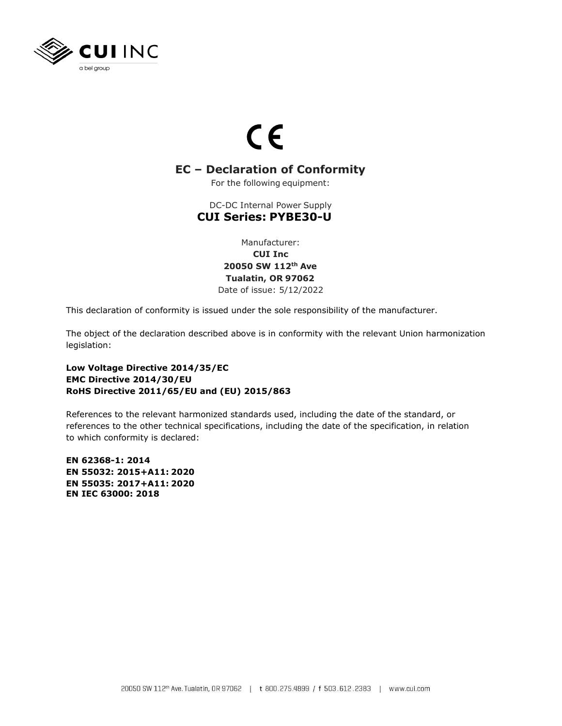

## $C \in$

## **EC – Declaration of Conformity**

For the following equipment:

**CUI Series: PYBE30-U** DC-DC Internal Power Supply

> **CUI Inc** Manufacturer:

**Tualatin, OR 97062 20050 SW 112th Ave**

Date of issue: 5/12/2022

This declaration of conformity is issued under the sole responsibility of the manufacturer.

legislation: The object of the declaration described above is in conformity with the relevant Union harmonization

## **RoHS Directive 2011/65/EU and (EU) 2015/863 EMC Directive 2014/30/EU Low Voltage Directive 2014/35/EC**

to which conformity is declared: references to the other technical specifications, including the date of the specification, in relation References to the relevant harmonized standards used, including the date of the standard, or

**EN IEC 63000: 2018 EN 55035: 2017+A11: 2020 EN 55032: 2015+A11: 2020 EN 62368-1: 2014**